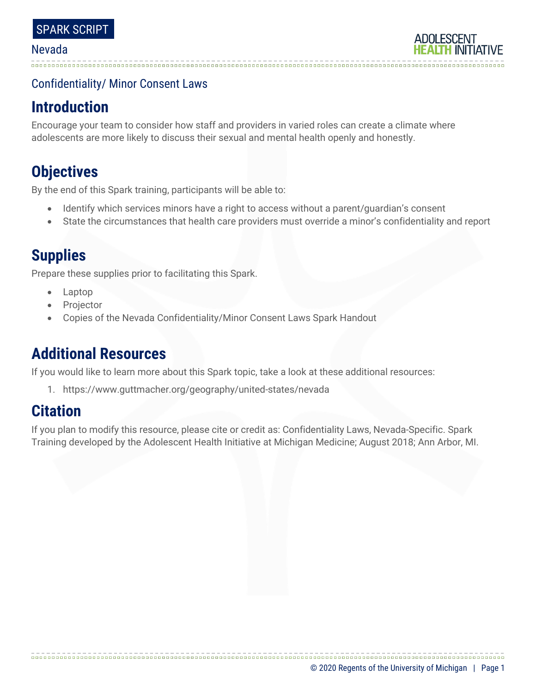### Confidentiality/ Minor Consent Laws

# **Introduction**

Encourage your team to consider how staff and providers in varied roles can create a climate where adolescents are more likely to discuss their sexual and mental health openly and honestly.

# **Objectives**

By the end of this Spark training, participants will be able to:

- Identify which services minors have a right to access without a parent/guardian's consent
- State the circumstances that health care providers must override a minor's confidentiality and report

# **Supplies**

Prepare these supplies prior to facilitating this Spark.

- Laptop
- **Projector**
- Copies of the Nevada Confidentiality/Minor Consent Laws Spark Handout

# **Additional Resources**

If you would like to learn more about this Spark topic, take a look at these additional resources:

1. https://www.guttmacher.org/geography/united-states/nevada

# **Citation**

If you plan to modify this resource, please cite or credit as: Confidentiality Laws, Nevada-Specific. Spark Training developed by the Adolescent Health Initiative at Michigan Medicine; August 2018; Ann Arbor, MI.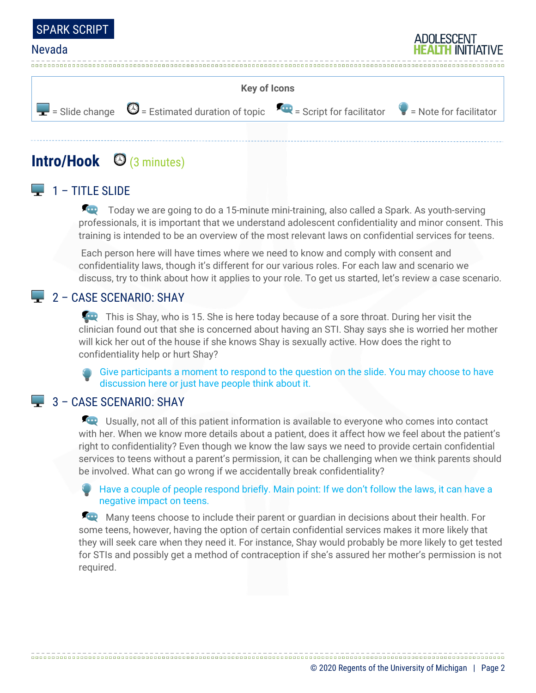



# **Intro/Hook** (3 minutes)

### $\Box$  1 – TITLE SLIDE

Today we are going to do a 15-minute mini-training, also called a Spark. As youth-serving professionals, it is important that we understand adolescent confidentiality and minor consent. This training is intended to be an overview of the most relevant laws on confidential services for teens.

Each person here will have times where we need to know and comply with consent and confidentiality laws, though it's different for our various roles. For each law and scenario we discuss, try to think about how it applies to your role. To get us started, let's review a case scenario.

#### 2 – CASE SCENARIO: SHAY

This is Shay, who is 15. She is here today because of a sore throat. During her visit the clinician found out that she is concerned about having an STI. Shay says she is worried her mother will kick her out of the house if she knows Shay is sexually active. How does the right to confidentiality help or hurt Shay?

Give participants a moment to respond to the question on the slide. You may choose to have discussion here or just have people think about it.

#### $\Box$  3 – CASE SCENARIO: SHAY

**ED** Usually, not all of this patient information is available to everyone who comes into contact with her. When we know more details about a patient, does it affect how we feel about the patient's right to confidentiality? Even though we know the law says we need to provide certain confidential services to teens without a parent's permission, it can be challenging when we think parents should be involved. What can go wrong if we accidentally break confidentiality?

Have a couple of people respond briefly. Main point: If we don't follow the laws, it can have a negative impact on teens.

Many teens choose to include their parent or guardian in decisions about their health. For some teens, however, having the option of certain confidential services makes it more likely that they will seek care when they need it. For instance, Shay would probably be more likely to get tested for STIs and possibly get a method of contraception if she's assured her mother's permission is not required.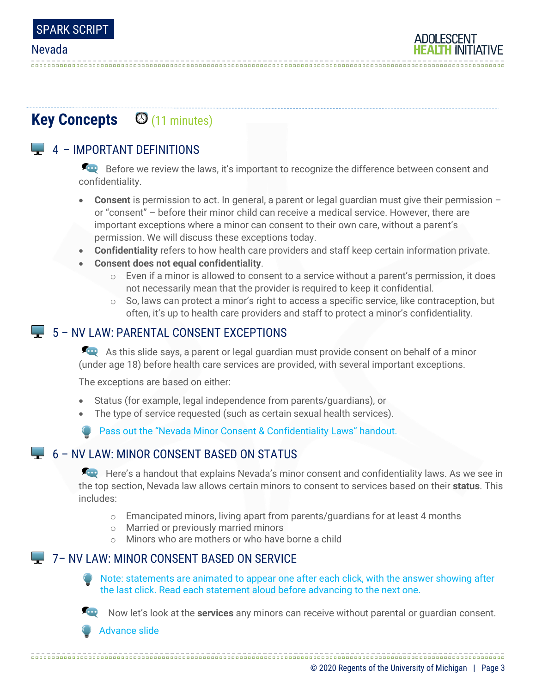

# **Key Concepts**  $\Theta$  **(11 minutes)**

## $\Box$  4 – IMPORTANT DEFINITIONS

Before we review the laws, it's important to recognize the difference between consent and confidentiality.

- **Consent** is permission to act. In general, a parent or legal guardian must give their permission or "consent" – before their minor child can receive a medical service. However, there are important exceptions where a minor can consent to their own care, without a parent's permission. We will discuss these exceptions today.
- **Confidentiality** refers to how health care providers and staff keep certain information private.
- **Consent does not equal confidentiality**.
	- $\circ$  Even if a minor is allowed to consent to a service without a parent's permission, it does not necessarily mean that the provider is required to keep it confidential.
	- $\circ$  So, laws can protect a minor's right to access a specific service, like contraception, but often, it's up to health care providers and staff to protect a minor's confidentiality.

### 5 – NV LAW: PARENTAL CONSENT EXCEPTIONS

As this slide says, a parent or legal guardian must provide consent on behalf of a minor (under age 18) before health care services are provided, with several important exceptions.

The exceptions are based on either:

- Status (for example, legal independence from parents/guardians), or
- The type of service requested (such as certain sexual health services).

Pass out the "Nevada Minor Consent & Confidentiality Laws" handout.

### $\Box$  6 – NV LAW: MINOR CONSENT BASED ON STATUS

Here's a handout that explains Nevada's minor consent and confidentiality laws. As we see in the top section, Nevada law allows certain minors to consent to services based on their **status**. This includes:

- $\circ$  Emancipated minors, living apart from parents/quardians for at least 4 months
- o Married or previously married minors
- o Minors who are mothers or who have borne a child

### **7- NV LAW: MINOR CONSENT BASED ON SERVICE**

Note: statements are animated to appear one after each click, with the answer showing after the last click. Read each statement aloud before advancing to the next one.



Now let's look at the **services** any minors can receive without parental or guardian consent.

Advance slide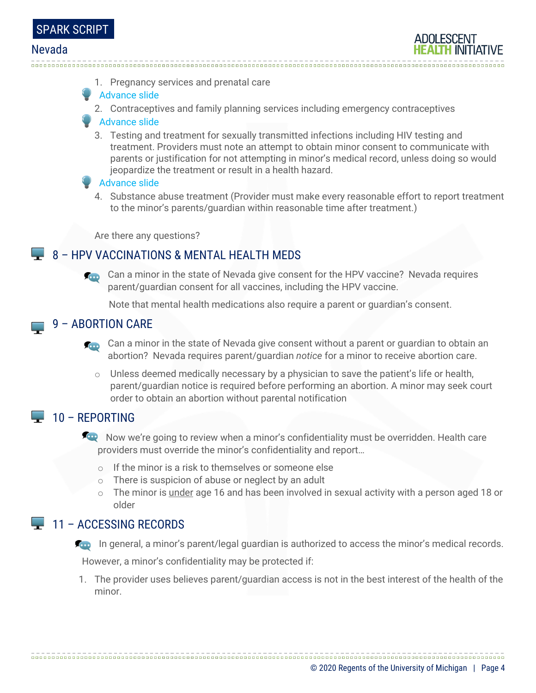

1. Pregnancy services and prenatal care

#### **Advance slide**

2. Contraceptives and family planning services including emergency contraceptives

#### Advance slide

3. Testing and treatment for sexually transmitted infections including HIV testing and treatment. Providers must note an attempt to obtain minor consent to communicate with parents or justification for not attempting in minor's medical record, unless doing so would jeopardize the treatment or result in a health hazard.

#### Advance slide

4. Substance abuse treatment (Provider must make every reasonable effort to report treatment to the minor's parents/guardian within reasonable time after treatment.)

Are there any questions?

### 8 – HPV VACCINATIONS & MENTAL HEALTH MEDS

Can a minor in the state of Nevada give consent for the HPV vaccine? Nevada requires parent/guardian consent for all vaccines, including the HPV vaccine.

Note that mental health medications also require a parent or guardian's consent.

#### 9 – ABORTION CARE  $\mathcal{L}_{\mathcal{A}}$

- Can a minor in the state of Nevada give consent without a parent or guardian to obtain an abortion? Nevada requires parent/guardian *notice* for a minor to receive abortion care.
	- $\circ$  Unless deemed medically necessary by a physician to save the patient's life or health, parent/guardian notice is required before performing an abortion. A minor may seek court order to obtain an abortion without parental notification

### $\Box$  10 – REPORTING

- Now we're going to review when a minor's confidentiality must be overridden. Health care providers must override the minor's confidentiality and report…
	- o If the minor is a risk to themselves or someone else
	- o There is suspicion of abuse or neglect by an adult
	- $\circ$  The minor is under age 16 and has been involved in sexual activity with a person aged 18 or older

#### $\Box$  11 – ACCESSING RECORDS

**In general, a minor's parent/legal guardian is authorized to access the minor's medical records.** 

However, a minor's confidentiality may be protected if:

1. The provider uses believes parent/guardian access is not in the best interest of the health of the minor.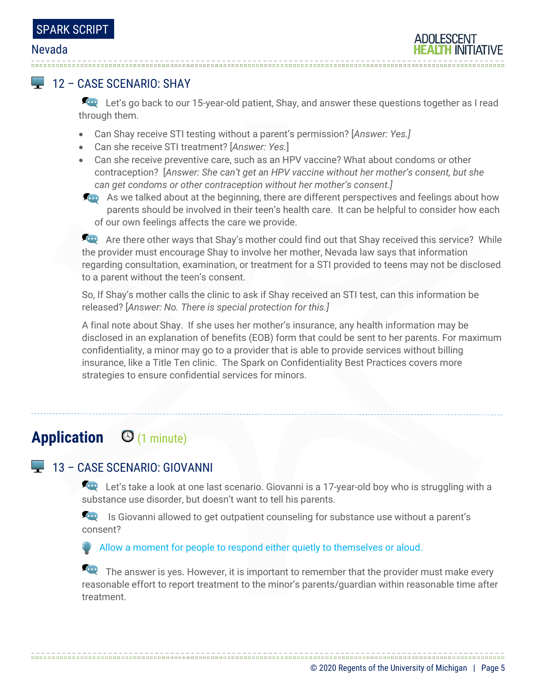### 12 – CASE SCENARIO: SHAY

Let's go back to our 15-year-old patient, Shay, and answer these questions together as I read through them.

- Can Shay receive STI testing without a parent's permission? [*Answer: Yes.]*
- Can she receive STI treatment? [*Answer: Yes.*]
- Can she receive preventive care, such as an HPV vaccine? What about condoms or other contraception? [*Answer: She can't get an HPV vaccine without her mother's consent, but she can get condoms or other contraception without her mother's consent.]*
- As we talked about at the beginning, there are different perspectives and feelings about how parents should be involved in their teen's health care. It can be helpful to consider how each of our own feelings affects the care we provide.

Are there other ways that Shay's mother could find out that Shay received this service? While the provider must encourage Shay to involve her mother, Nevada law says that information regarding consultation, examination, or treatment for a STI provided to teens may not be disclosed to a parent without the teen's consent.

So, If Shay's mother calls the clinic to ask if Shay received an STI test, can this information be released? [*Answer: No. There is special protection for this.]*

A final note about Shay. If she uses her mother's insurance, any health information may be disclosed in an explanation of benefits (EOB) form that could be sent to her parents. For maximum confidentiality, a minor may go to a provider that is able to provide services without billing insurance, like a Title Ten clinic. The Spark on Confidentiality Best Practices covers more strategies to ensure confidential services for minors.

# **Application** (1 minute)

### 13 – CASE SCENARIO: GIOVANNI

Let's take a look at one last scenario. Giovanni is a 17-year-old boy who is struggling with a substance use disorder, but doesn't want to tell his parents.

**In August 15 Giovanni allowed to get outpatient counseling for substance use without a parent's** consent?

Allow a moment for people to respond either quietly to themselves or aloud.

The answer is yes. However, it is important to remember that the provider must make every reasonable effort to report treatment to the minor's parents/guardian within reasonable time after treatment.